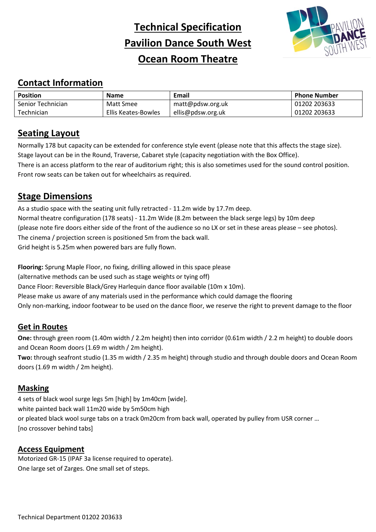# **Technical Specification Pavilion Dance South West**



# **Ocean Room Theatre**

## **Contact Information**

| <b>Position</b>   | <b>Name</b>         | Email             | <b>Phone Number</b> |
|-------------------|---------------------|-------------------|---------------------|
| Senior Technician | Matt Smee           | matt@pdsw.org.uk  | 01202 203633        |
| Technician        | Ellis Keates-Bowles | ellis@pdsw.org.uk | 01202 203633        |

#### **Seating Layout**

Normally 178 but capacity can be extended for conference style event (please note that this affects the stage size). Stage layout can be in the Round, Traverse, Cabaret style (capacity negotiation with the Box Office). There is an access platform to the rear of auditorium right; this is also sometimes used for the sound control position. Front row seats can be taken out for wheelchairs as required.

## **Stage Dimensions**

As a studio space with the seating unit fully retracted - 11.2m wide by 17.7m deep. Normal theatre configuration (178 seats) - 11.2m Wide (8.2m between the black serge legs) by 10m deep (please note fire doors either side of the front of the audience so no LX or set in these areas please – see photos). The cinema / projection screen is positioned 5m from the back wall. Grid height is 5.25m when powered bars are fully flown.

**Flooring:** Sprung Maple Floor, no fixing, drilling allowed in this space please (alternative methods can be used such as stage weights or tying off) Dance Floor: Reversible Black/Grey Harlequin dance floor available (10m x 10m). Please make us aware of any materials used in the performance which could damage the flooring Only non-marking, indoor footwear to be used on the dance floor, we reserve the right to prevent damage to the floor

#### **Get in Routes**

**One:** through green room (1.40m width / 2.2m height) then into corridor (0.61m width / 2.2 m height) to double doors and Ocean Room doors (1.69 m width / 2m height).

**Two:** through seafront studio (1.35 m width / 2.35 m height) through studio and through double doors and Ocean Room doors (1.69 m width / 2m height).

#### **Masking**

4 sets of black wool surge legs 5m [high] by 1m40cm [wide]. white painted back wall 11m20 wide by 5m50cm high or pleated black wool surge tabs on a track 0m20cm from back wall, operated by pulley from USR corner … [no crossover behind tabs]

#### **Access Equipment**

Motorized GR-15 (IPAF 3a license required to operate). One large set of Zarges. One small set of steps.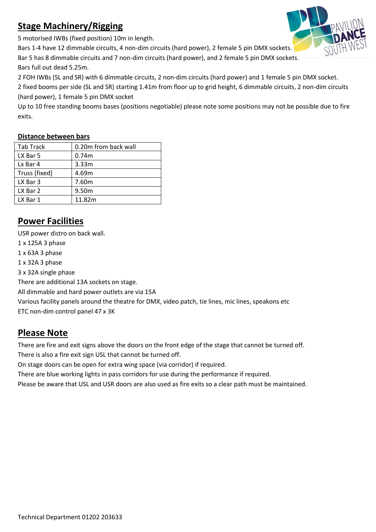# **Stage Machinery/Rigging**

5 motorised IWBs (fixed position) 10m in length.

Bars 1-4 have 12 dimmable circuits, 4 non-dim circuits (hard power), 2 female 5 pin DMX sockets. Bar 5 has 8 dimmable circuits and 7 non-dim circuits (hard power), and 2 female 5 pin DMX sockets. Bars full out dead 5.25m.

2 FOH IWBs (SL and SR) with 6 dimmable circuits, 2 non-dim circuits (hard power) and 1 female 5 pin DMX socket.

2 fixed booms per side (SL and SR) starting 1.41m from floor up to grid height, 6 dimmable circuits, 2 non-dim circuits (hard power), 1 female 5 pin DMX socket

Up to 10 free standing booms bases (positions negotiable) please note some positions may not be possible due to fire exits.

#### **Distance between bars**

| <b>Tab Track</b> | 0.20m from back wall |
|------------------|----------------------|
| LX Bar 5         | 0.74m                |
| Lx Bar 4         | 3.33m                |
| Truss [fixed]    | 4.69m                |
| LX Bar 3         | 7.60m                |
| LX Bar 2         | 9.50m                |
| LX Bar 1         | 11.82m               |

## **Power Facilities**

USR power distro on back wall. 1 x 125A 3 phase 1 x 63A 3 phase 1 x 32A 3 phase 3 x 32A single phase There are additional 13A sockets on stage. All dimmable and hard power outlets are via 15A Various facility panels around the theatre for DMX, video patch, tie lines, mic lines, speakons etc ETC non-dim control panel 47 x 3K

## **Please Note**

There are fire and exit signs above the doors on the front edge of the stage that cannot be turned off. There is also a fire exit sign USL that cannot be turned off.

On stage doors can be open for extra wing space (via corridor) if required.

There are blue working lights in pass corridors for use during the performance if required.

Please be aware that USL and USR doors are also used as fire exits so a clear path must be maintained.

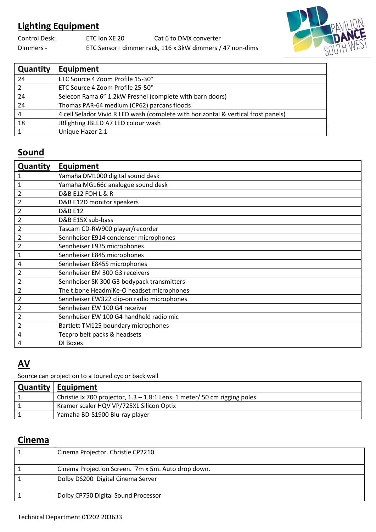# **Lighting Equipment**



Control Desk: ETC Ion XE 20 Cat 6 to DMX converter Dimmers - ETC Sensor+ dimmer rack, 116 x 3kW dimmers / 47 non-dims

| <b>Quantity</b> | Equipment                                                                          |
|-----------------|------------------------------------------------------------------------------------|
| 24              | ETC Source 4 Zoom Profile 15-30°                                                   |
| 2               | ETC Source 4 Zoom Profile 25-50°                                                   |
| 24              | Selecon Rama 6" 1.2kW Fresnel (complete with barn doors)                           |
| 24              | Thomas PAR-64 medium (CP62) parcans floods                                         |
| 4               | 4 cell Selador Vivid R LED wash (complete with horizontal & vertical frost panels) |
| 18              | JBlighting JBLED A7 LED colour wash                                                |
|                 | Unique Hazer 2.1                                                                   |

## **Sound**

| Quantity       | <b>Equipment</b>                           |
|----------------|--------------------------------------------|
| 1              | Yamaha DM1000 digital sound desk           |
| 1              | Yamaha MG166c analogue sound desk          |
| 2              | D&B E12 FOH L & R                          |
| $\overline{2}$ | D&B E12D monitor speakers                  |
| $\overline{2}$ | <b>D&amp;B E12</b>                         |
| 2              | D&B E15X sub-bass                          |
| 2              | Tascam CD-RW900 player/recorder            |
| $\overline{2}$ | Sennheiser E914 condenser microphones      |
| $\overline{2}$ | Sennheiser E935 microphones                |
| 1              | Sennheiser E845 microphones                |
| 4              | Sennheiser E845S microphones               |
| 2              | Sennheiser EM 300 G3 receivers             |
| $\overline{2}$ | Sennheiser SK 300 G3 bodypack transmitters |
| 2              | The t.bone HeadmiKe-O headset microphones  |
| 2              | Sennheiser EW322 clip-on radio microphones |
| $\overline{2}$ | Sennheiser EW 100 G4 receiver              |
| $\overline{2}$ | Sennheiser EW 100 G4 handheld radio mic    |
| 2              | Bartlett TM125 boundary microphones        |
| 4              | Tecpro belt packs & headsets               |
| 4              | DI Boxes                                   |

# **AV**

Source can project on to a toured cyc or back wall

| <b>Quantity   Equipment</b>                                                   |
|-------------------------------------------------------------------------------|
| Christie lx 700 projector, $1.3 - 1.8$ :1 Lens. 1 meter/ 50 cm rigging poles. |
| Kramer scaler HQV VP/725XL Silicon Optix                                      |
| Yamaha BD-S1900 Blu-ray player                                                |
|                                                                               |

#### **Cinema**

| Cinema Projector. Christie CP2210                  |
|----------------------------------------------------|
| Cinema Projection Screen. 7m x 5m. Auto drop down. |
| Dolby DS200 Digital Cinema Server                  |
| Dolby CP750 Digital Sound Processor                |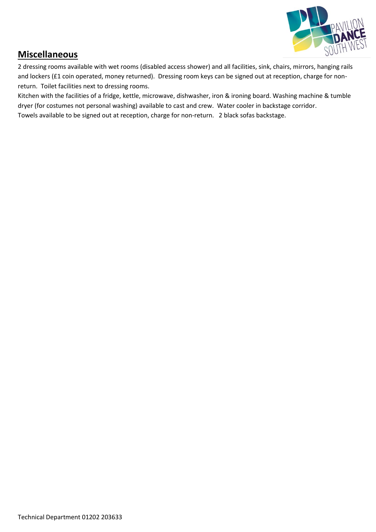

#### **Miscellaneous**

2 dressing rooms available with wet rooms (disabled access shower) and all facilities, sink, chairs, mirrors, hanging rails and lockers (£1 coin operated, money returned). Dressing room keys can be signed out at reception, charge for nonreturn. Toilet facilities next to dressing rooms.

Kitchen with the facilities of a fridge, kettle, microwave, dishwasher, iron & ironing board. Washing machine & tumble dryer (for costumes not personal washing) available to cast and crew. Water cooler in backstage corridor. Towels available to be signed out at reception, charge for non-return. 2 black sofas backstage.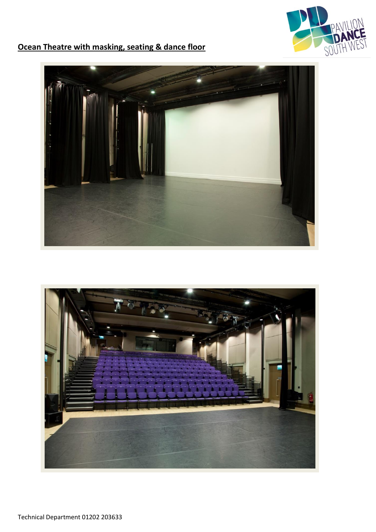

# **Ocean Theatre with masking, seating & dance floor**



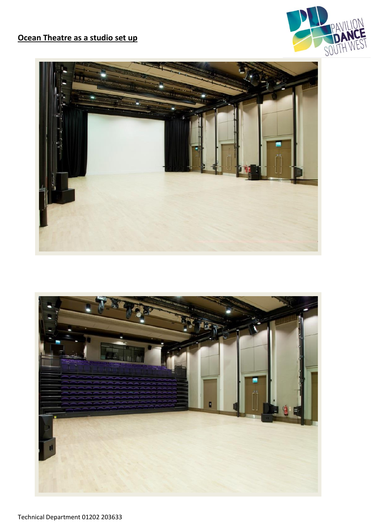## **Ocean Theatre as a studio set up**





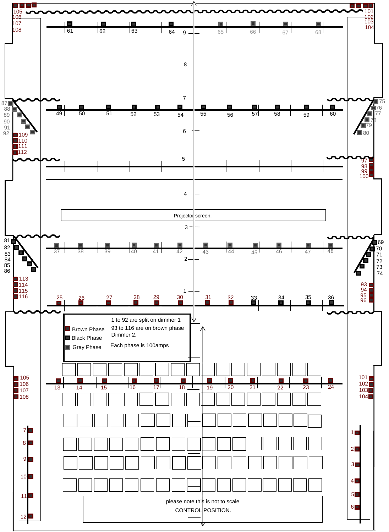